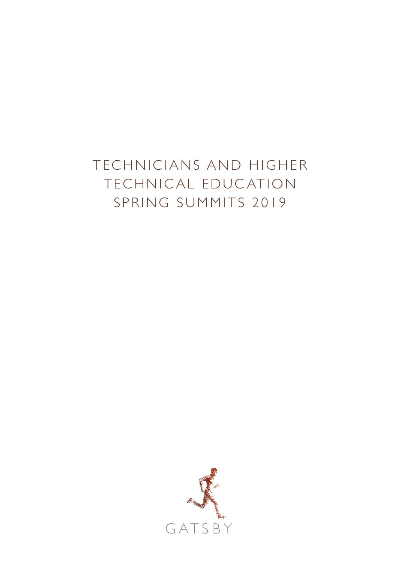# TECHNICIANS AND HIGHER TECHNICAL EDUCATION SPRING SUMMITS 2019

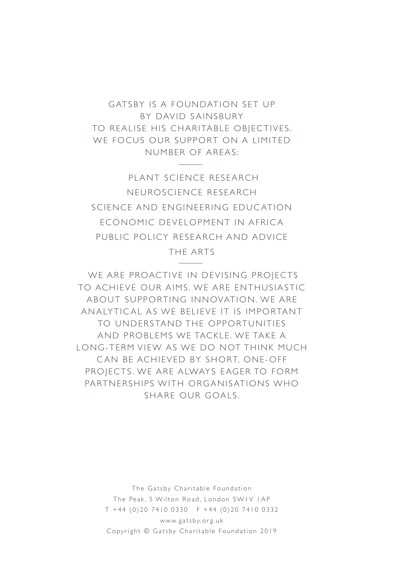GATSBY IS A FOUNDATION SET UP BY DAVID SAINSBURY TO REALISE HIS CHARITABLE OBJECTIVES. WE FOCUS OUR SUPPORT ON A LIMITED NUMBER OF AREAS:

 PLANT SCIENCE RESEARCH NEUROSCIENCE RESEARCH SCIENCE AND ENGINEERING EDUC ATION ECONOMIC DEVELOPMENT IN AFRICA PUBLIC POLICY RESEARCH AND ADVICE

THE ARTS

 WE ARE PROACTIVE IN DEVISING PROJECTS TO ACHIEVE OUR AIMS. WE ARE ENTHUSIASTIC A BOUT SUPPORTING INNOVATION. WE ARE AN ALYTICAL AS WE BELIEVE IT IS IMPORTANT TO UNDERSTAND THE OPPORTUNITIES AND PROBLEMS WE TACKLE, WE TAKE A LONG-TERM VIEW AS WE DO NOT THINK MUCH CAN BE ACHIEVED BY SHORT, ONE-OFF PROJECTS. WE ARE ALWAYS EAGER TO FORM PARTNERSHIPS WITH ORGANISATIONS WHO SHARE OUR GOALS

> The Gatsby Charitable Foundation The Peak, 5 Wilton Road, London SW1V 1AP T +44 (0)20 7410 0330 F +44 (0)20 7410 0332 www.gatsby.org.uk Copyright © Gatsby Charitable Foundation 2019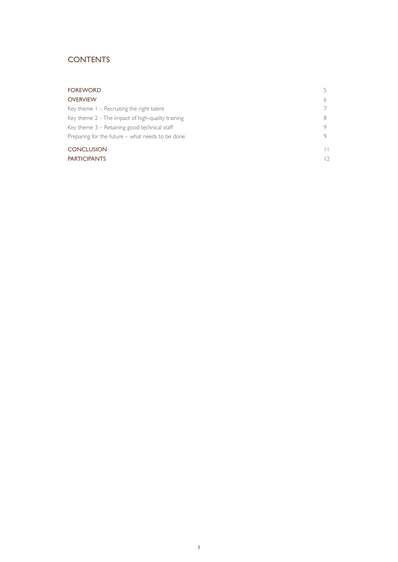# **CONTENTS**

| <b>FOREWORD</b>                                     |            |
|-----------------------------------------------------|------------|
| <b>OVERVIEW</b>                                     | 6          |
| Key theme $1 -$ Recruiting the right talent         |            |
| Key theme $2$ – The impact of high-quality training |            |
| Key theme $3$ – Retaining good technical staff      |            |
| Preparing for the future $-$ what needs to be done  | 9          |
| <b>CONCLUSION</b>                                   | H          |
| <b>PARTICIPANTS</b>                                 | $\sqrt{2}$ |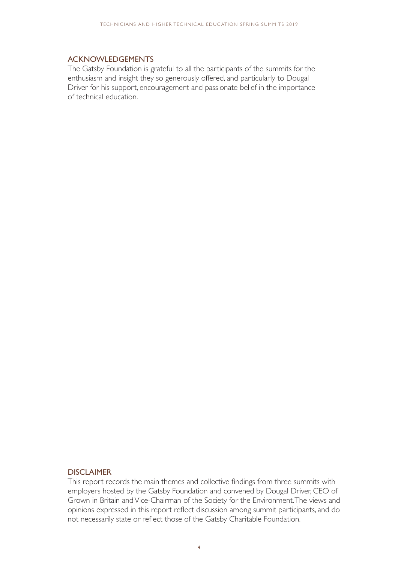#### ACKNOWLEDGEMENTS

The Gatsby Foundation is grateful to all the participants of the summits for the enthusiasm and insight they so generously offered, and particularly to Dougal Driver for his support, encouragement and passionate belief in the importance of technical education.

#### DISCI AIMER

This report records the main themes and collective findings from three summits with employers hosted by the Gatsby Foundation and convened by Dougal Driver, CEO of Grown in Britain and Vice-Chairman of the Society for the Environment. The views and opinions expressed in this report reflect discussion among summit participants, and do not necessarily state or reflect those of the Gatsby Charitable Foundation.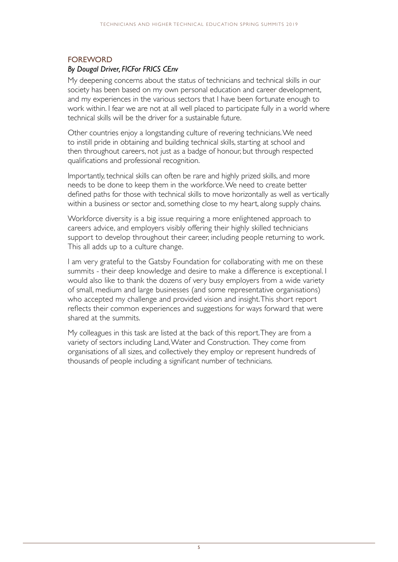## FOREWORD

#### *By Dougal Driver, FICFor FRICS CEnv*

My deepening concerns about the status of technicians and technical skills in our society has been based on my own personal education and career development, and my experiences in the various sectors that I have been fortunate enough to work within. I fear we are not at all well placed to participate fully in a world where technical skills will be the driver for a sustainable future.

Other countries enjoy a longstanding culture of revering technicians. We need to instill pride in obtaining and building technical skills, starting at school and then throughout careers, not just as a badge of honour, but through respected qualifications and professional recognition.

Importantly, technical skills can often be rare and highly prized skills, and more needs to be done to keep them in the workforce. We need to create better defined paths for those with technical skills to move horizontally as well as vertically within a business or sector and, something close to my heart, along supply chains.

Workforce diversity is a big issue requiring a more enlightened approach to careers advice, and employers visibly offering their highly skilled technicians support to develop throughout their career, including people returning to work. This all adds up to a culture change.

I am very grateful to the Gatsby Foundation for collaborating with me on these summits - their deep knowledge and desire to make a difference is exceptional. I would also like to thank the dozens of very busy employers from a wide variety of small, medium and large businesses (and some representative organisations) who accepted my challenge and provided vision and insight. This short report reflects their common experiences and suggestions for ways forward that were shared at the summits.

My colleagues in this task are listed at the back of this report. They are from a variety of sectors including Land, Water and Construction. They come from organisations of all sizes, and collectively they employ or represent hundreds of thousands of people including a significant number of technicians.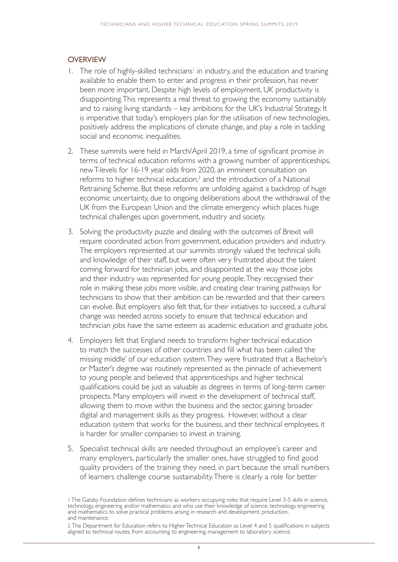### **OVERVIEW**

- 1. The role of highly-skilled technicians<sup>1</sup> in industry, and the education and training available to enable them to enter and progress in their profession, has never been more important. Despite high levels of employment, UK productivity is disappointing. This represents a real threat to growing the economy sustainably and to raising living standards – key ambitions for the UK's Industrial Strategy. It is imperative that today's employers plan for the utilisation of new technologies, positively address the implications of climate change, and play a role in tackling social and economic inequalities.
- 2. These summits were held in March/April 2019, a time of significant promise in terms of technical education reforms with a growing number of apprenticeships, new T-levels for 16-19 year olds from 2020, an imminent consultation on reforms to higher technical education,<sup>2</sup> and the introduction of a National Retraining Scheme. But these reforms are unfolding against a backdrop of huge economic uncertainty, due to ongoing deliberations about the withdrawal of the UK from the European Union and the climate emergency which places huge technical challenges upon government, industry and society.
- 3. Solving the productivity puzzle and dealing with the outcomes of Brexit will require coordinated action from government, education providers and industry. The employers represented at our summits strongly valued the technical skills and knowledge of their staff, but were often very frustrated about the talent coming forward for technician jobs, and disappointed at the way those jobs and their industry was represented for young people. They recognised their role in making these jobs more visible, and creating clear training pathways for technicians to show that their ambition can be rewarded and that their careers can evolve. But employers also felt that, for their initiatives to succeed, a cultural change was needed across society to ensure that technical education and technician jobs have the same esteem as academic education and graduate jobs.
- 4. Employers felt that England needs to transform higher technical education to match the successes of other countries and fill what has been called 'the missing middle' of our education system. They were frustrated that a Bachelor's or Master's degree was routinely represented as the pinnacle of achievement to young people and believed that apprenticeships and higher technical qualifications could be just as valuable as degrees in terms of long-term career prospects. Many employers will invest in the development of technical staff, allowing them to move within the business and the sector, gaining broader digital and management skills as they progress. However, without a clear education system that works for the business, and their technical employees, it is harder for smaller companies to invest in training.
- 5. Specialist technical skills are needed throughout an employee's career and many employers, particularly the smaller ones, have struggled to find good quality providers of the training they need, in part because the small numbers of learners challenge course sustainability. There is clearly a role for better

<sup>1</sup> The Gatsby Foundation defines technicians as workers occupying roles that require Level 3-5 skills in science, technology, engineering and/or mathematics and who use their knowledge of science, technology, engineering and mathematics to solve practical problems arising in research and development, production, and maintenance.

<sup>2</sup> The Department for Education refers to Higher Technical Education as Level 4 and 5 qualifications in subjects aligned to technical routes, from accounting to engineering, management to laboratory science.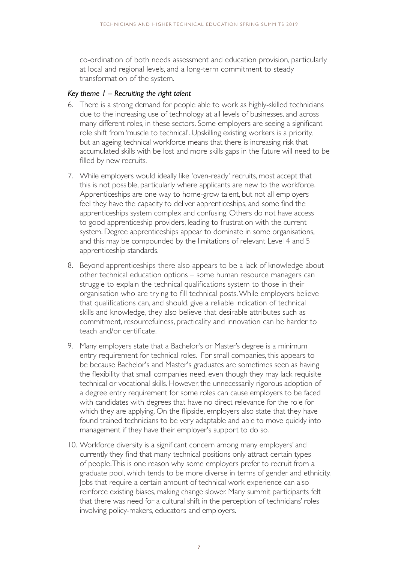co-ordination of both needs assessment and education provision, particularly at local and regional levels, and a long-term commitment to steady transformation of the system.

#### *Key theme 1 – Recruiting the right talent*

- 6. There is a strong demand for people able to work as highly-skilled technicians due to the increasing use of technology at all levels of businesses, and across many different roles, in these sectors. Some employers are seeing a significant role shift from 'muscle to technical'. Upskilling existing workers is a priority, but an ageing technical workforce means that there is increasing risk that accumulated skills with be lost and more skills gaps in the future will need to be filled by new recruits.
- 7. While employers would ideally like 'oven-ready' recruits, most accept that this is not possible, particularly where applicants are new to the workforce. Apprenticeships are one way to home-grow talent, but not all employers feel they have the capacity to deliver apprenticeships, and some find the apprenticeships system complex and confusing. Others do not have access to good apprenticeship providers, leading to frustration with the current system. Degree apprenticeships appear to dominate in some organisations, and this may be compounded by the limitations of relevant Level 4 and 5 apprenticeship standards.
- 8. Beyond apprenticeships there also appears to be a lack of knowledge about other technical education options – some human resource managers can struggle to explain the technical qualifications system to those in their organisation who are trying to fill technical posts. While employers believe that qualifications can, and should, give a reliable indication of technical skills and knowledge, they also believe that desirable attributes such as commitment, resourcefulness, practicality and innovation can be harder to teach and/or certificate.
- 9. Many employers state that a Bachelor's or Master's degree is a minimum entry requirement for technical roles. For small companies, this appears to be because Bachelor's and Master's graduates are sometimes seen as having the flexibility that small companies need, even though they may lack requisite technical or vocational skills. However, the unnecessarily rigorous adoption of a degree entry requirement for some roles can cause employers to be faced with candidates with degrees that have no direct relevance for the role for which they are applying. On the flipside, employers also state that they have found trained technicians to be very adaptable and able to move quickly into management if they have their employer's support to do so.
- 10. Workforce diversity is a significant concern among many employers' and currently they find that many technical positions only attract certain types of people. This is one reason why some employers prefer to recruit from a graduate pool, which tends to be more diverse in terms of gender and ethnicity. Jobs that require a certain amount of technical work experience can also reinforce existing biases, making change slower. Many summit participants felt that there was need for a cultural shift in the perception of technicians' roles involving policy-makers, educators and employers.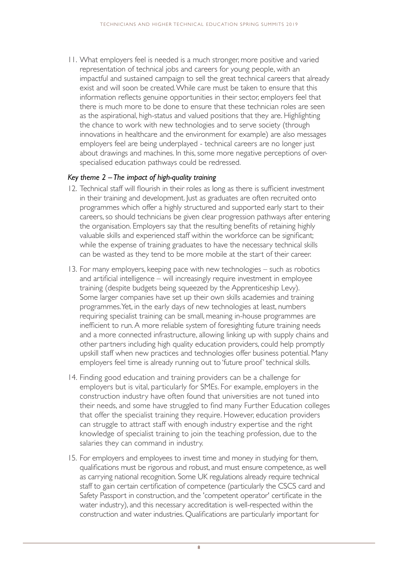11. What employers feel is needed is a much stronger, more positive and varied representation of technical jobs and careers for young people, with an impactful and sustained campaign to sell the great technical careers that already exist and will soon be created. While care must be taken to ensure that this information reflects genuine opportunities in their sector, employers feel that there is much more to be done to ensure that these technician roles are seen as the aspirational, high-status and valued positions that they are. Highlighting the chance to work with new technologies and to serve society (through innovations in healthcare and the environment for example) are also messages employers feel are being underplayed - technical careers are no longer just about drawings and machines. In this, some more negative perceptions of overspecialised education pathways could be redressed.

#### *Key theme 2 – The impact of high-quality training*

- 12. Technical staff will flourish in their roles as long as there is sufficient investment in their training and development. Just as graduates are often recruited onto programmes which offer a highly structured and supported early start to their careers, so should technicians be given clear progression pathways after entering the organisation. Employers say that the resulting benefits of retaining highly valuable skills and experienced staff within the workforce can be significant; while the expense of training graduates to have the necessary technical skills can be wasted as they tend to be more mobile at the start of their career.
- 13. For many employers, keeping pace with new technologies such as robotics and artificial intelligence – will increasingly require investment in employee training (despite budgets being squeezed by the Apprenticeship Levy). Some larger companies have set up their own skills academies and training programmes. Yet, in the early days of new technologies at least, numbers requiring specialist training can be small, meaning in-house programmes are inefficient to run. A more reliable system of foresighting future training needs and a more connected infrastructure, allowing linking up with supply chains and other partners including high quality education providers, could help promptly upskill staff when new practices and technologies offer business potential. Many employers feel time is already running out to 'future proof' technical skills.
- 14. Finding good education and training providers can be a challenge for employers but is vital, particularly for SMEs. For example, employers in the construction industry have often found that universities are not tuned into their needs, and some have struggled to find many Further Education colleges that offer the specialist training they require. However, education providers can struggle to attract staff with enough industry expertise and the right knowledge of specialist training to join the teaching profession, due to the salaries they can command in industry.
- 15. For employers and employees to invest time and money in studying for them, qualifications must be rigorous and robust, and must ensure competence, as well as carrying national recognition. Some UK regulations already require technical staff to gain certain certification of competence (particularly the CSCS card and Safety Passport in construction, and the 'competent operator' certificate in the water industry), and this necessary accreditation is well-respected within the construction and water industries. Qualifications are particularly important for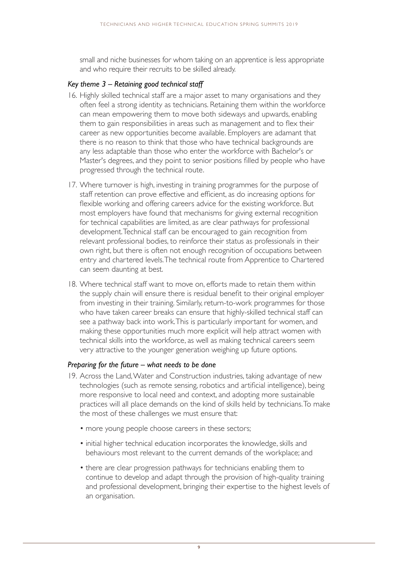small and niche businesses for whom taking on an apprentice is less appropriate and who require their recruits to be skilled already.

#### *Key theme 3 – Retaining good technical staff*

- 16. Highly skilled technical staff are a major asset to many organisations and they often feel a strong identity as technicians. Retaining them within the workforce can mean empowering them to move both sideways and upwards, enabling them to gain responsibilities in areas such as management and to flex their career as new opportunities become available. Employers are adamant that there is no reason to think that those who have technical backgrounds are any less adaptable than those who enter the workforce with Bachelor's or Master's degrees, and they point to senior positions filled by people who have progressed through the technical route.
- 17. Where turnover is high, investing in training programmes for the purpose of staff retention can prove effective and efficient, as do increasing options for flexible working and offering careers advice for the existing workforce. But most employers have found that mechanisms for giving external recognition for technical capabilities are limited, as are clear pathways for professional development. Technical staff can be encouraged to gain recognition from relevant professional bodies, to reinforce their status as professionals in their own right, but there is often not enough recognition of occupations between entry and chartered levels. The technical route from Apprentice to Chartered can seem daunting at best.
- 18. Where technical staff want to move on, efforts made to retain them within the supply chain will ensure there is residual benefit to their original employer from investing in their training. Similarly, return-to-work programmes for those who have taken career breaks can ensure that highly-skilled technical staff can see a pathway back into work. This is particularly important for women, and making these opportunities much more explicit will help attract women with technical skills into the workforce, as well as making technical careers seem very attractive to the younger generation weighing up future options.

#### *Preparing for the future – what needs to be done*

- 19. Across the Land, Water and Construction industries, taking advantage of new technologies (such as remote sensing, robotics and artificial intelligence), being more responsive to local need and context, and adopting more sustainable practices will all place demands on the kind of skills held by technicians. To make the most of these challenges we must ensure that:
	- more young people choose careers in these sectors;
	- initial higher technical education incorporates the knowledge, skills and behaviours most relevant to the current demands of the workplace; and
	- there are clear progression pathways for technicians enabling them to continue to develop and adapt through the provision of high-quality training and professional development, bringing their expertise to the highest levels of an organisation.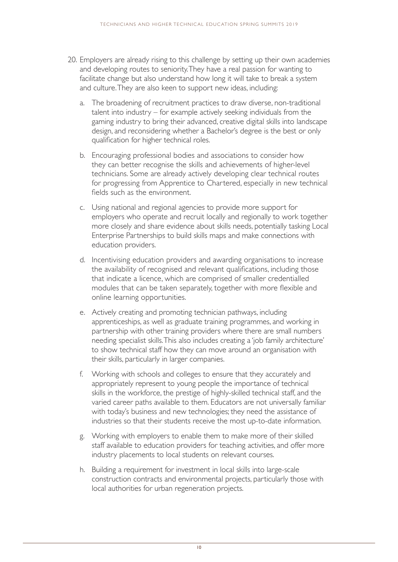- 20. Employers are already rising to this challenge by setting up their own academies and developing routes to seniority. They have a real passion for wanting to facilitate change but also understand how long it will take to break a system and culture. They are also keen to support new ideas, including:
	- a. The broadening of recruitment practices to draw diverse, non-traditional talent into industry – for example actively seeking individuals from the gaming industry to bring their advanced, creative digital skills into landscape design, and reconsidering whether a Bachelor's degree is the best or only qualification for higher technical roles.
	- b. Encouraging professional bodies and associations to consider how they can better recognise the skills and achievements of higher-level technicians. Some are already actively developing clear technical routes for progressing from Apprentice to Chartered, especially in new technical fields such as the environment.
	- c. Using national and regional agencies to provide more support for employers who operate and recruit locally and regionally to work together more closely and share evidence about skills needs, potentially tasking Local Enterprise Partnerships to build skills maps and make connections with education providers.
	- d. Incentivising education providers and awarding organisations to increase the availability of recognised and relevant qualifications, including those that indicate a licence, which are comprised of smaller credentialled modules that can be taken separately, together with more flexible and online learning opportunities.
	- e. Actively creating and promoting technician pathways, including apprenticeships, as well as graduate training programmes, and working in partnership with other training providers where there are small numbers needing specialist skills. This also includes creating a 'job family architecture' to show technical staff how they can move around an organisation with their skills, particularly in larger companies.
	- f. Working with schools and colleges to ensure that they accurately and appropriately represent to young people the importance of technical skills in the workforce, the prestige of highly-skilled technical staff, and the varied career paths available to them. Educators are not universally familiar with today's business and new technologies; they need the assistance of industries so that their students receive the most up-to-date information.
	- g. Working with employers to enable them to make more of their skilled staff available to education providers for teaching activities, and offer more industry placements to local students on relevant courses.
	- h. Building a requirement for investment in local skills into large-scale construction contracts and environmental projects, particularly those with local authorities for urban regeneration projects.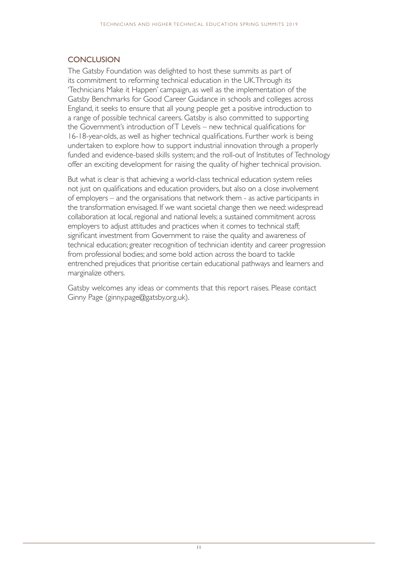## **CONCLUSION**

The Gatsby Foundation was delighted to host these summits as part of its commitment to reforming technical education in the UK. Through its 'Technicians Make it Happen' campaign, as well as the implementation of the Gatsby Benchmarks for Good Career Guidance in schools and colleges across England, it seeks to ensure that all young people get a positive introduction to a range of possible technical careers. Gatsby is also committed to supporting the Government's introduction of T Levels – new technical qualifications for 16-18-year-olds, as well as higher technical qualifications. Further work is being undertaken to explore how to support industrial innovation through a properly funded and evidence-based skills system; and the roll-out of Institutes of Technology offer an exciting development for raising the quality of higher technical provision.

But what is clear is that achieving a world-class technical education system relies not just on qualifications and education providers, but also on a close involvement of employers – and the organisations that network them - as active participants in the transformation envisaged. If we want societal change then we need: widespread collaboration at local, regional and national levels; a sustained commitment across employers to adjust attitudes and practices when it comes to technical staff; significant investment from Government to raise the quality and awareness of technical education; greater recognition of technician identity and career progression from professional bodies; and some bold action across the board to tackle entrenched prejudices that prioritise certain educational pathways and learners and marginalize others.

Gatsby welcomes any ideas or comments that this report raises. Please contact Ginny Page (ginny.page@gatsby.org.uk).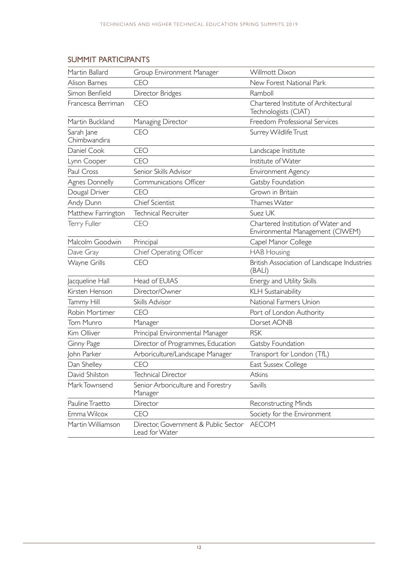# SUMMIT PARTICIPANTS

| Martin Ballard             | Group Environment Manager                              | Willmott Dixon                                                         |
|----------------------------|--------------------------------------------------------|------------------------------------------------------------------------|
| Alison Barnes              | <b>CEO</b>                                             | New Forest National Park                                               |
| Simon Benfield             | Director Bridges                                       | Ramboll                                                                |
| Francesca Berriman         | <b>CEO</b>                                             | Chartered Institute of Architectural<br>Technologists (CIAT)           |
| Martin Buckland            | Managing Director                                      | Freedom Professional Services                                          |
| Sarah Jane<br>Chimbwandira | <b>CEO</b>                                             | Surrey Wildlife Trust                                                  |
| Daniel Cook                | <b>CEO</b>                                             | Landscape Institute                                                    |
| Lynn Cooper                | <b>CEO</b>                                             | Institute of Water                                                     |
| Paul Cross                 | Senior Skills Advisor                                  | Environment Agency                                                     |
| Agnes Donnelly             | Communications Officer                                 | Gatsby Foundation                                                      |
| Dougal Driver              | <b>CEO</b>                                             | Grown in Britain                                                       |
| Andy Dunn                  | <b>Chief Scientist</b>                                 | Thames Water                                                           |
| Matthew Farrington         | Technical Recruiter                                    | Suez UK                                                                |
| Terry Fuller               | <b>CEO</b>                                             | Chartered Institution of Water and<br>Environmental Management (CIWEM) |
| Malcolm Goodwin            | Principal                                              | Capel Manor College                                                    |
| Dave Gray                  | Chief Operating Officer                                | <b>HAB Housing</b>                                                     |
| Wayne Grills               | <b>CEO</b>                                             | British Association of Landscape Industries<br>(BALI)                  |
| Jacqueline Hall            | Head of EUIAS                                          | Energy and Utility Skills                                              |
| Kirsten Henson             | Director/Owner                                         | KLH Sustainability                                                     |
| Tammy Hill                 | Skills Advisor                                         | National Farmers Union                                                 |
| Robin Mortimer             | <b>CEO</b>                                             | Port of London Authority                                               |
| Tom Munro                  | Manager                                                | Dorset AONB                                                            |
| Kim Olliver                | Principal Environmental Manager                        | <b>RSK</b>                                                             |
| Ginny Page                 | Director of Programmes, Education                      | Gatsby Foundation                                                      |
| John Parker                | Arboriculture/Landscape Manager                        | Transport for London (TfL)                                             |
| Dan Shelley                | CFO                                                    | East Sussex College                                                    |
| David Shilston             | <b>Technical Director</b>                              | Atkins                                                                 |
| Mark Townsend              | Senior Arboriculture and Forestry<br>Manager           | Savills                                                                |
| Pauline Traetto            | Director                                               | <b>Reconstructing Minds</b>                                            |
| Emma Wilcox                | <b>CEO</b>                                             | Society for the Environment                                            |
| Martin Williamson          | Director, Government & Public Sector<br>Lead for Water | <b>AECOM</b>                                                           |